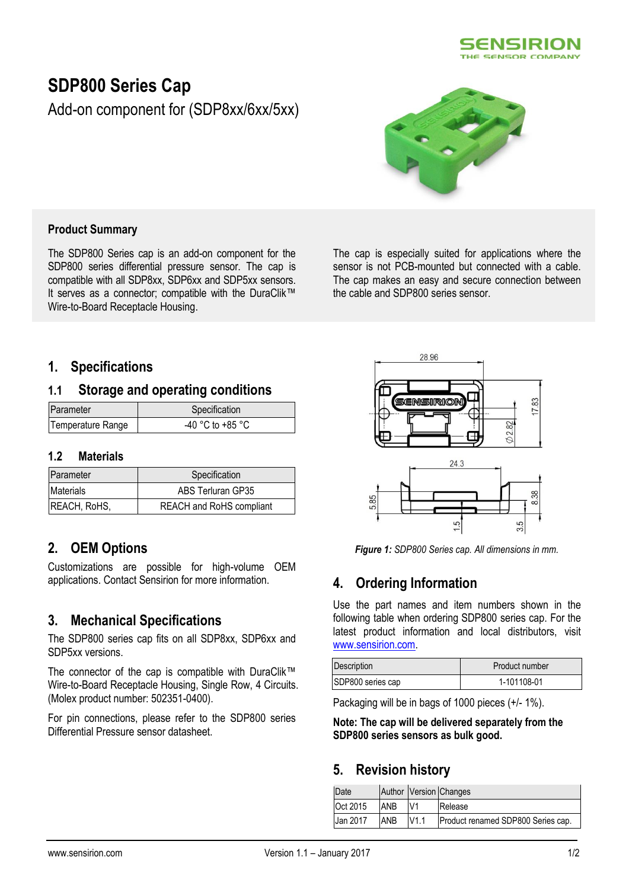

# **SDP800 Series Cap**

Add-on component for (SDP8xx/6xx/5xx)



### **Product Summary**

The SDP800 Series cap is an add-on component for the SDP800 series differential pressure sensor. The cap is compatible with all SDP8xx, SDP6xx and SDP5xx sensors. It serves as a connector; compatible with the DuraClik™ Wire-to-Board Receptacle Housing.

The cap is especially suited for applications where the sensor is not PCB-mounted but connected with a cable. The cap makes an easy and secure connection between the cable and SDP800 series sensor.

## **1. Specifications**

### **1.1 Storage and operating conditions**

| Parameter         | Specification        |
|-------------------|----------------------|
| Temperature Range | $-40$ °C to $+85$ °C |

#### **1.2 Materials**

| Parameter           | Specification            |
|---------------------|--------------------------|
| <b>Materials</b>    | ABS Terluran GP35        |
| <b>REACH, RoHS,</b> | REACH and RoHS compliant |

# **2. OEM Options**

Customizations are possible for high-volume OEM applications. Contact Sensirion for more information.

# **3. Mechanical Specifications**

The SDP800 series cap fits on all SDP8xx, SDP6xx and SDP5xx versions.

The connector of the cap is compatible with DuraClik™ Wire-to-Board Receptacle Housing, Single Row, 4 Circuits. (Molex product number: 502351-0400).

For pin connections, please refer to the SDP800 series Differential Pressure sensor datasheet.



*Figure 1: SDP800 Series cap. All dimensions in mm.*

# **4. Ordering Information**

Use the part names and item numbers shown in the following table when ordering SDP800 series cap. For the latest product information and local distributors, visit [www.sensirion.com.](http://www.sensirion.com/)

| Description       | Product number |
|-------------------|----------------|
| SDP800 series cap | 1-101108-01    |

Packaging will be in bags of 1000 pieces (+/- 1%).

**Note: The cap will be delivered separately from the SDP800 series sensors as bulk good.**

## **5. Revision history**

| Date     |            |      | Author Version Changes             |
|----------|------------|------|------------------------------------|
| Oct 2015 | <b>ANB</b> | V1   | Release                            |
| Jan 2017 | ANB        | V1.1 | Product renamed SDP800 Series cap. |